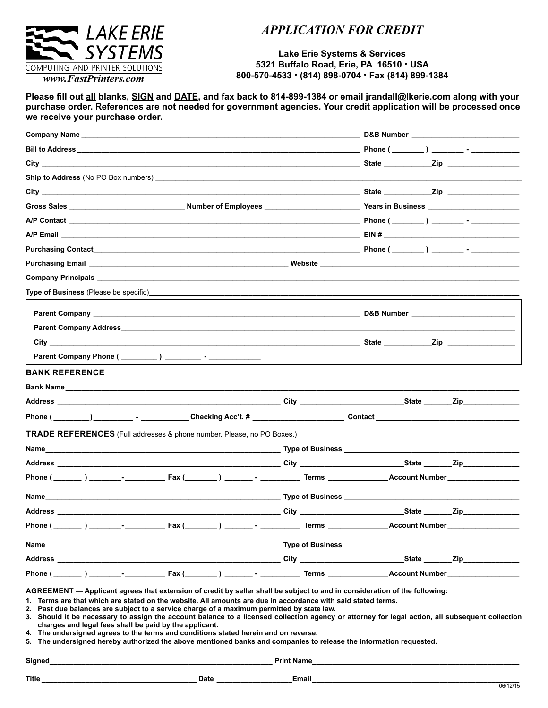

## *APPLICATION FOR CREDIT*

## **Lake Erie Systems & Services 5321 Buffalo Road, Erie, PA 16510 . USA 800-570-4533 . (814) 898-0704 . Fax (814) 899-1384**

**Please fill out all blanks, SIGN and DATE, and fax back to 814-899-1384 or email jrandall@lkerie.com along with your purchase order. References are not needed for government agencies. Your credit application will be processed once we receive your purchase order.** 

| Company Name _____________                                                                                                                                                                                                           | D&B Number and the state of the state of the state of the state of the state of the state of the state of the state of the state of the state of the state of the state of the state of the state of the state of the state of |
|--------------------------------------------------------------------------------------------------------------------------------------------------------------------------------------------------------------------------------------|--------------------------------------------------------------------------------------------------------------------------------------------------------------------------------------------------------------------------------|
|                                                                                                                                                                                                                                      |                                                                                                                                                                                                                                |
|                                                                                                                                                                                                                                      |                                                                                                                                                                                                                                |
|                                                                                                                                                                                                                                      |                                                                                                                                                                                                                                |
|                                                                                                                                                                                                                                      |                                                                                                                                                                                                                                |
|                                                                                                                                                                                                                                      |                                                                                                                                                                                                                                |
|                                                                                                                                                                                                                                      |                                                                                                                                                                                                                                |
|                                                                                                                                                                                                                                      |                                                                                                                                                                                                                                |
|                                                                                                                                                                                                                                      |                                                                                                                                                                                                                                |
|                                                                                                                                                                                                                                      |                                                                                                                                                                                                                                |
|                                                                                                                                                                                                                                      |                                                                                                                                                                                                                                |
|                                                                                                                                                                                                                                      |                                                                                                                                                                                                                                |
| Parent Company and the company of the company of the company of the company of the company of the company of the company of the company of the company of the company of the company of the company of the company of the comp       |                                                                                                                                                                                                                                |
|                                                                                                                                                                                                                                      |                                                                                                                                                                                                                                |
|                                                                                                                                                                                                                                      |                                                                                                                                                                                                                                |
| Parent Company Phone ( _________) __________ - _                                                                                                                                                                                     |                                                                                                                                                                                                                                |
| <b>BANK REFERENCE</b>                                                                                                                                                                                                                |                                                                                                                                                                                                                                |
| Bank Name <u>such as a series of the series of the series of the series of the series of the series of the series of the series of the series of the series of the series of the series of the series of the series of the serie</u> |                                                                                                                                                                                                                                |
|                                                                                                                                                                                                                                      |                                                                                                                                                                                                                                |
|                                                                                                                                                                                                                                      |                                                                                                                                                                                                                                |
|                                                                                                                                                                                                                                      |                                                                                                                                                                                                                                |
| <b>TRADE REFERENCES</b> (Full addresses & phone number. Please, no PO Boxes.)                                                                                                                                                        |                                                                                                                                                                                                                                |
|                                                                                                                                                                                                                                      |                                                                                                                                                                                                                                |
|                                                                                                                                                                                                                                      |                                                                                                                                                                                                                                |
|                                                                                                                                                                                                                                      |                                                                                                                                                                                                                                |
|                                                                                                                                                                                                                                      |                                                                                                                                                                                                                                |
|                                                                                                                                                                                                                                      |                                                                                                                                                                                                                                |
|                                                                                                                                                                                                                                      |                                                                                                                                                                                                                                |
| Name                                                                                                                                                                                                                                 |                                                                                                                                                                                                                                |
|                                                                                                                                                                                                                                      |                                                                                                                                                                                                                                |
|                                                                                                                                                                                                                                      |                                                                                                                                                                                                                                |
|                                                                                                                                                                                                                                      |                                                                                                                                                                                                                                |

**1. Terms are that which are stated on the website. All amounts are due in accordance with said stated terms.**

**2. Past due balances are subject to a service charge of a maximum permitted by state law.**

**3. Should it be necessary to assign the account balance to a licensed collection agency or attorney for legal action, all subsequent collection charges and legal fees shall be paid by the applicant.**

**4. The undersigned agrees to the terms and conditions stated herein and on reverse.**

**5. The undersigned hereby authorized the above mentioned banks and companies to release the information requested.**

**Signed\_\_\_\_\_\_\_\_\_\_\_\_\_\_\_\_\_\_\_\_\_\_\_\_\_\_\_\_\_\_\_\_\_\_\_\_\_\_\_\_\_\_\_\_\_\_\_\_\_\_\_\_\_\_\_\_ Print Name\_\_\_\_\_\_\_\_\_\_\_\_\_\_\_\_\_\_\_\_\_\_\_\_\_\_\_\_\_\_\_\_\_\_\_\_\_\_\_\_\_\_\_\_\_\_\_\_\_\_\_\_ Title \_\_\_\_\_\_\_\_\_\_\_\_\_\_\_\_\_\_\_\_\_\_\_\_\_\_\_\_\_\_\_\_\_\_\_\_\_\_\_ Date \_\_\_\_\_\_\_\_\_\_\_\_\_\_\_\_\_\_\_Email\_\_\_\_\_\_\_\_\_\_\_\_\_\_\_\_\_\_\_\_\_\_\_\_\_\_\_\_\_\_\_\_\_\_\_\_\_\_\_\_\_\_\_\_\_\_\_\_\_\_\_\_**